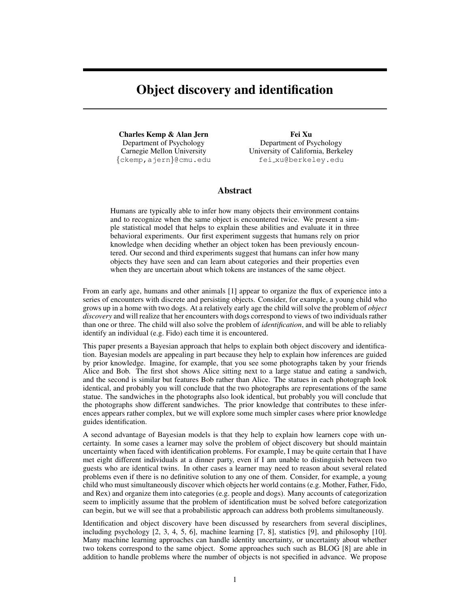# **Object discovery and identification**

**Charles Kemp & Alan Jern** Department of Psychology Carnegie Mellon University {ckemp,ajern}@cmu.edu

**Fei Xu** Department of Psychology University of California, Berkeley fei xu@berkeley.edu

#### **Abstract**

Humans are typically able to infer how many objects their environment contains and to recognize when the same object is encountered twice. We present a simple statistical model that helps to explain these abilities and evaluate it in three behavioral experiments. Our first experiment suggests that humans rely on prior knowledge when deciding whether an object token has been previously encountered. Our second and third experiments suggest that humans can infer how many objects they have seen and can learn about categories and their properties even when they are uncertain about which tokens are instances of the same object.

From an early age, humans and other animals [1] appear to organize the flux of experience into a series of encounters with discrete and persisting objects. Consider, for example, a young child who grows up in a home with two dogs. At a relatively early age the child will solve the problem of *object discovery* and will realize that her encounters with dogs correspond to views of two individuals rather than one or three. The child will also solve the problem of *identification*, and will be able to reliably identify an individual (e.g. Fido) each time it is encountered.

This paper presents a Bayesian approach that helps to explain both object discovery and identification. Bayesian models are appealing in part because they help to explain how inferences are guided by prior knowledge. Imagine, for example, that you see some photographs taken by your friends Alice and Bob. The first shot shows Alice sitting next to a large statue and eating a sandwich, and the second is similar but features Bob rather than Alice. The statues in each photograph look identical, and probably you will conclude that the two photographs are representations of the same statue. The sandwiches in the photographs also look identical, but probably you will conclude that the photographs show different sandwiches. The prior knowledge that contributes to these inferences appears rather complex, but we will explore some much simpler cases where prior knowledge guides identification.

A second advantage of Bayesian models is that they help to explain how learners cope with uncertainty. In some cases a learner may solve the problem of object discovery but should maintain uncertainty when faced with identification problems. For example, I may be quite certain that I have met eight different individuals at a dinner party, even if I am unable to distinguish between two guests who are identical twins. In other cases a learner may need to reason about several related problems even if there is no definitive solution to any one of them. Consider, for example, a young child who must simultaneously discover which objects her world contains (e.g. Mother, Father, Fido, and Rex) and organize them into categories (e.g. people and dogs). Many accounts of categorization seem to implicitly assume that the problem of identification must be solved before categorization can begin, but we will see that a probabilistic approach can address both problems simultaneously.

Identification and object discovery have been discussed by researchers from several disciplines, including psychology [2, 3, 4, 5, 6], machine learning [7, 8], statistics [9], and philosophy [10]. Many machine learning approaches can handle identity uncertainty, or uncertainty about whether two tokens correspond to the same object. Some approaches such such as BLOG [8] are able in addition to handle problems where the number of objects is not specified in advance. We propose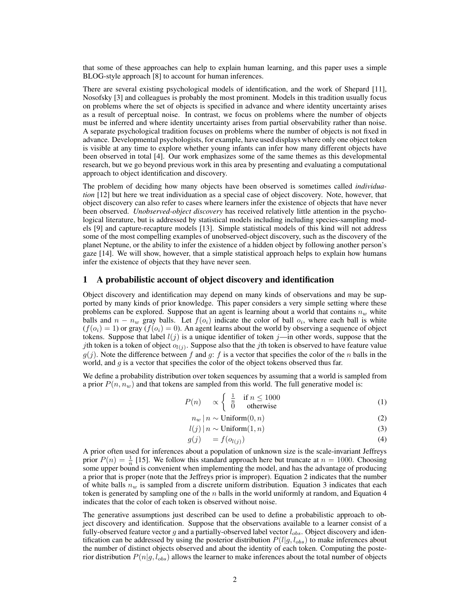that some of these approaches can help to explain human learning, and this paper uses a simple BLOG-style approach [8] to account for human inferences.

There are several existing psychological models of identification, and the work of Shepard [11], Nosofsky [3] and colleagues is probably the most prominent. Models in this tradition usually focus on problems where the set of objects is specified in advance and where identity uncertainty arises as a result of perceptual noise. In contrast, we focus on problems where the number of objects must be inferred and where identity uncertainty arises from partial observability rather than noise. A separate psychological tradition focuses on problems where the number of objects is not fixed in advance. Developmental psychologists, for example, have used displays where only one object token is visible at any time to explore whether young infants can infer how many different objects have been observed in total [4]. Our work emphasizes some of the same themes as this developmental research, but we go beyond previous work in this area by presenting and evaluating a computational approach to object identification and discovery.

The problem of deciding how many objects have been observed is sometimes called *individuation* [12] but here we treat individuation as a special case of object discovery. Note, however, that object discovery can also refer to cases where learners infer the existence of objects that have never been observed. *Unobserved-object discovery* has received relatively little attention in the psychological literature, but is addressed by statistical models including including species-sampling models [9] and capture-recapture models [13]. Simple statistical models of this kind will not address some of the most compelling examples of unobserved-object discovery, such as the discovery of the planet Neptune, or the ability to infer the existence of a hidden object by following another person's gaze [14]. We will show, however, that a simple statistical approach helps to explain how humans infer the existence of objects that they have never seen.

#### **1 A probabilistic account of object discovery and identification**

Object discovery and identification may depend on many kinds of observations and may be supported by many kinds of prior knowledge. This paper considers a very simple setting where these problems can be explored. Suppose that an agent is learning about a world that contains  $n_w$  white balls and  $n - n_w$  gray balls. Let  $f(o_i)$  indicate the color of ball  $o_i$ , where each ball is white  $(f(o_i) = 1)$  or gray  $(f(o_i) = 0)$ . An agent learns about the world by observing a sequence of object tokens. Suppose that label  $l(j)$  is a unique identifier of token j—in other words, suppose that the *j*th token is a token of object  $o_{l(j)}$ . Suppose also that the *j*th token is observed to have feature value  $g(j)$ . Note the difference between f and g: f is a vector that specifies the color of the n balls in the world, and  $q$  is a vector that specifies the color of the object tokens observed thus far.

We define a probability distribution over token sequences by assuming that a world is sampled from a prior  $P(n, n_w)$  and that tokens are sampled from this world. The full generative model is:

$$
P(n) \quad \propto \begin{cases} \frac{1}{n} & \text{if } n \le 1000 \\ 0 & \text{otherwise} \end{cases} \tag{1}
$$

$$
n_w \mid n \sim \text{Uniform}(0, n) \tag{2}
$$

$$
l(j) | n \sim \text{Uniform}(1, n) \tag{3}
$$

$$
g(j) = f(o_{l(j)}) \tag{4}
$$

A prior often used for inferences about a population of unknown size is the scale-invariant Jeffreys prior  $P(n) = \frac{1}{n}$  [15]. We follow this standard approach here but truncate at  $n = 1000$ . Choosing some upper bound is convenient when implementing the model, and has the advantage of producing a prior that is proper (note that the Jeffreys prior is improper). Equation 2 indicates that the number of white balls  $n_w$  is sampled from a discrete uniform distribution. Equation 3 indicates that each token is generated by sampling one of the  $n$  balls in the world uniformly at random, and Equation 4 indicates that the color of each token is observed without noise.

The generative assumptions just described can be used to define a probabilistic approach to object discovery and identification. Suppose that the observations available to a learner consist of a fully-observed feature vector g and a partially-observed label vector  $l_{obs}$ . Object discovery and identification can be addressed by using the posterior distribution  $P(l|g, l_{obs})$  to make inferences about the number of distinct objects observed and about the identity of each token. Computing the posterior distribution  $P(n|g, l_{obs})$  allows the learner to make inferences about the total number of objects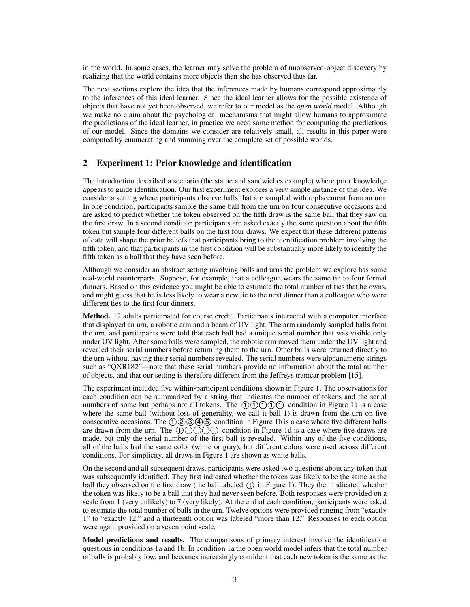in the world. In some cases, the learner may solve the problem of unobserved-object discovery by realizing that the world contains more objects than she has observed thus far.

The next sections explore the idea that the inferences made by humans correspond approximately to the inferences of this ideal learner. Since the ideal learner allows for the possible existence of objects that have not yet been observed, we refer to our model as the *open world* model. Although we make no claim about the psychological mechanisms that might allow humans to approximate the predictions of the ideal learner, in practice we need some method for computing the predictions of our model. Since the domains we consider are relatively small, all results in this paper were computed by enumerating and summing over the complete set of possible worlds.

## **2 Experiment 1: Prior knowledge and identification**

The introduction described a scenario (the statue and sandwiches example) where prior knowledge appears to guide identification. Our first experiment explores a very simple instance of this idea. We consider a setting where participants observe balls that are sampled with replacement from an urn. In one condition, participants sample the same ball from the urn on four consecutive occasions and are asked to predict whether the token observed on the fifth draw is the same ball that they saw on the first draw. In a second condition participants are asked exactly the same question about the fifth token but sample four different balls on the first four draws. We expect that these different patterns of data will shape the prior beliefs that participants bring to the identification problem involving the fifth token, and that participants in the first condition will be substantially more likely to identify the fifth token as a ball that they have seen before.

Although we consider an abstract setting involving balls and urns the problem we explore has some real-world counterparts. Suppose, for example, that a colleague wears the same tie to four formal dinners. Based on this evidence you might be able to estimate the total number of ties that he owns, and might guess that he is less likely to wear a new tie to the next dinner than a colleague who wore different ties to the first four dinners.

**Method.** 12 adults participated for course credit. Participants interacted with a computer interface that displayed an urn, a robotic arm and a beam of UV light. The arm randomly sampled balls from the urn, and participants were told that each ball had a unique serial number that was visible only under UV light. After some balls were sampled, the robotic arm moved them under the UV light and revealed their serial numbers before returning them to the urn. Other balls were returned directly to the urn without having their serial numbers revealed. The serial numbers were alphanumeric strings such as "QXR182"—note that these serial numbers provide no information about the total number of objects, and that our setting is therefore different from the Jeffreys tramcar problem [15].

The experiment included five within-participant conditions shown in Figure 1. The observations for each condition can be summarized by a string that indicates the number of tokens and the serial numbers of some but perhaps not all tokens. The  $00000$  condition in Figure 1a is a case where the same ball (without loss of generality, we call it ball 1) is drawn from the urn on five consecutive occasions. The  $(1)$   $(2)$   $(3)$   $(4)$   $(5)$  condition in Figure 1b is a case where five different balls are drawn from the urn. The  $\bigcirc$   $\bigcirc$   $\bigcirc$   $\bigcirc$  condition in Figure 1d is a case where five draws are made, but only the serial number of the first ball is revealed. Within any of the five conditions, all of the balls had the same color (white or gray), but different colors were used across different conditions. For simplicity, all draws in Figure 1 are shown as white balls.

On the second and all subsequent draws, participants were asked two questions about any token that was subsequently identified. They first indicated whether the token was likely to be the same as the ball they observed on the first draw (the ball labeled  $(1)$  in Figure 1). They then indicated whether the token was likely to be a ball that they had never seen before. Both responses were provided on a scale from 1 (very unlikely) to 7 (very likely). At the end of each condition, participants were asked to estimate the total number of balls in the urn. Twelve options were provided ranging from "exactly 1" to "exactly 12," and a thirteenth option was labeled "more than 12." Responses to each option were again provided on a seven point scale.

**Model predictions and results.** The comparisons of primary interest involve the identification questions in conditions 1a and 1b. In condition 1a the open world model infers that the total number of balls is probably low, and becomes increasingly confident that each new token is the same as the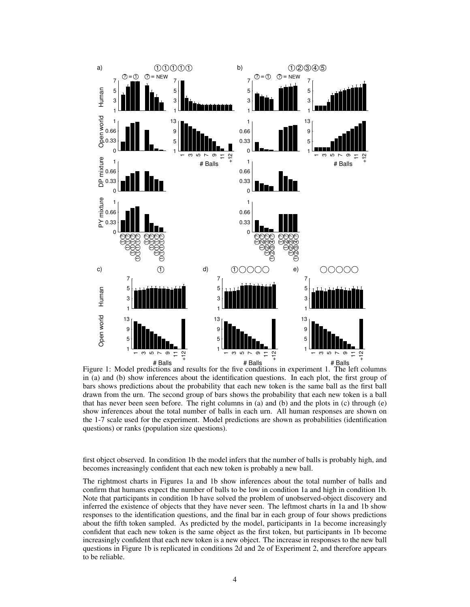

Figure 1: Model predictions and results for the five conditions in experiment 1. The left columns in (a) and (b) show inferences about the identification questions. In each plot, the first group of bars shows predictions about the probability that each new token is the same ball as the first ball drawn from the urn. The second group of bars shows the probability that each new token is a ball that has never been seen before. The right columns in (a) and (b) and the plots in (c) through  $(e)$ show inferences about the total number of balls in each urn. All human responses are shown on the 1-7 scale used for the experiment. Model predictions are shown as probabilities (identification questions) or ranks (population size questions).

first object observed. In condition 1b the model infers that the number of balls is probably high, and becomes increasingly confident that each new token is probably a new ball.

The rightmost charts in Figures 1a and 1b show inferences about the total number of balls and confirm that humans expect the number of balls to be low in condition 1a and high in condition 1b. Note that participants in condition 1b have solved the problem of unobserved-object discovery and inferred the existence of objects that they have never seen. The leftmost charts in 1a and 1b show responses to the identification questions, and the final bar in each group of four shows predictions about the fifth token sampled. As predicted by the model, participants in 1a become increasingly confident that each new token is the same object as the first token, but participants in 1b become increasingly confident that each new token is a new object. The increase in responses to the new ball questions in Figure 1b is replicated in conditions 2d and 2e of Experiment 2, and therefore appears to be reliable.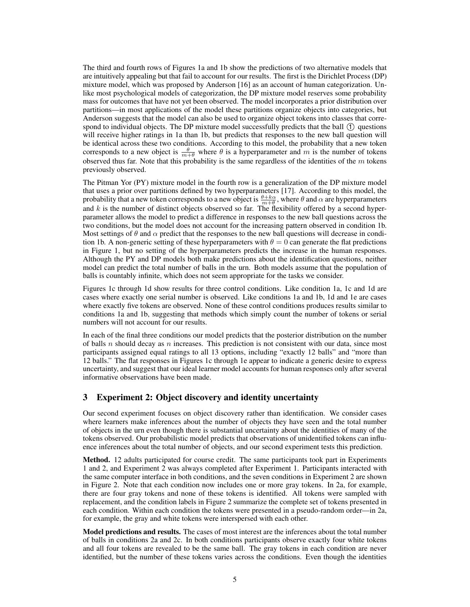The third and fourth rows of Figures 1a and 1b show the predictions of two alternative models that are intuitively appealing but that fail to account for our results. The first is the Dirichlet Process (DP) mixture model, which was proposed by Anderson [16] as an account of human categorization. Unlike most psychological models of categorization, the DP mixture model reserves some probability mass for outcomes that have not yet been observed. The model incorporates a prior distribution over partitions—in most applications of the model these partitions organize objects into categories, but Anderson suggests that the model can also be used to organize object tokens into classes that correspond to individual objects. The DP mixture model successfully predicts that the ball  $\circled{1}$  questions will receive higher ratings in 1a than 1b, but predicts that responses to the new ball question will be identical across these two conditions. According to this model, the probability that a new token corresponds to a new object is  $\frac{\theta}{m+\theta}$  where  $\theta$  is a hyperparameter and m is the number of tokens observed thus far. Note that this probability is the same regardless of the identities of the  $m$  tokens previously observed.

The Pitman Yor (PY) mixture model in the fourth row is a generalization of the DP mixture model that uses a prior over partitions defined by two hyperparameters [17]. According to this model, the probability that a new token corresponds to a new object is  $\frac{\theta+k\alpha}{m+\theta}$ , where  $\theta$  and  $\alpha$  are hyperparameters and  $k$  is the number of distinct objects observed so far. The flexibility offered by a second hyperparameter allows the model to predict a difference in responses to the new ball questions across the two conditions, but the model does not account for the increasing pattern observed in condition 1b. Most settings of  $\theta$  and  $\alpha$  predict that the responses to the new ball questions will decrease in condition 1b. A non-generic setting of these hyperparameters with  $\theta = 0$  can generate the flat predictions in Figure 1, but no setting of the hyperparameters predicts the increase in the human responses. Although the PY and DP models both make predictions about the identification questions, neither model can predict the total number of balls in the urn. Both models assume that the population of balls is countably infinite, which does not seem appropriate for the tasks we consider.

Figures 1c through 1d show results for three control conditions. Like condition 1a, 1c and 1d are cases where exactly one serial number is observed. Like conditions 1a and 1b, 1d and 1e are cases where exactly five tokens are observed. None of these control conditions produces results similar to conditions 1a and 1b, suggesting that methods which simply count the number of tokens or serial numbers will not account for our results.

In each of the final three conditions our model predicts that the posterior distribution on the number of balls n should decay as n increases. This prediction is not consistent with our data, since most participants assigned equal ratings to all 13 options, including "exactly 12 balls" and "more than 12 balls." The flat responses in Figures 1c through 1e appear to indicate a generic desire to express uncertainty, and suggest that our ideal learner model accounts for human responses only after several informative observations have been made.

## **3 Experiment 2: Object discovery and identity uncertainty**

Our second experiment focuses on object discovery rather than identification. We consider cases where learners make inferences about the number of objects they have seen and the total number of objects in the urn even though there is substantial uncertainty about the identities of many of the tokens observed. Our probabilistic model predicts that observations of unidentified tokens can influence inferences about the total number of objects, and our second experiment tests this prediction.

**Method.** 12 adults participated for course credit. The same participants took part in Experiments 1 and 2, and Experiment 2 was always completed after Experiment 1. Participants interacted with the same computer interface in both conditions, and the seven conditions in Experiment 2 are shown in Figure 2. Note that each condition now includes one or more gray tokens. In 2a, for example, there are four gray tokens and none of these tokens is identified. All tokens were sampled with replacement, and the condition labels in Figure 2 summarize the complete set of tokens presented in each condition. Within each condition the tokens were presented in a pseudo-random order—in 2a, for example, the gray and white tokens were interspersed with each other.

**Model predictions and results.** The cases of most interest are the inferences about the total number of balls in conditions 2a and 2c. In both conditions participants observe exactly four white tokens and all four tokens are revealed to be the same ball. The gray tokens in each condition are never identified, but the number of these tokens varies across the conditions. Even though the identities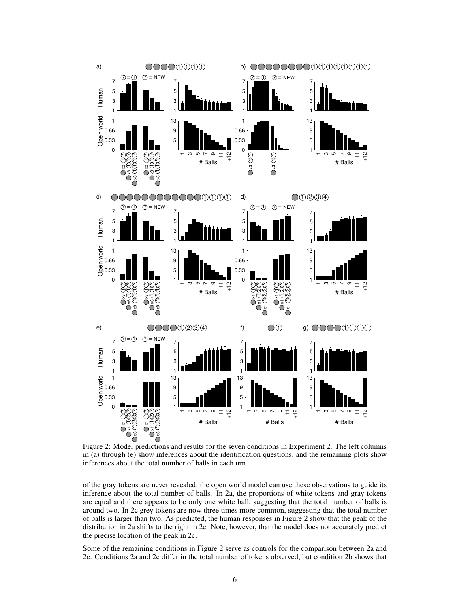

Figure 2: Model predictions and results for the seven conditions in Experiment 2. The left columns in (a) through (e) show inferences about the identification questions, and the remaining plots show inferences about the total number of balls in each urn.

of the gray tokens are never revealed, the open world model can use these observations to guide its inference about the total number of balls. In 2a, the proportions of white tokens and gray tokens are equal and there appears to be only one white ball, suggesting that the total number of balls is around two. In 2c grey tokens are now three times more common, suggesting that the total number of balls is larger than two. As predicted, the human responses in Figure 2 show that the peak of the distribution in 2a shifts to the right in 2c. Note, however, that the model does not accurately predict the precise location of the peak in 2c.

Some of the remaining conditions in Figure 2 serve as controls for the comparison between 2a and 2c. Conditions 2a and 2c differ in the total number of tokens observed, but condition 2b shows that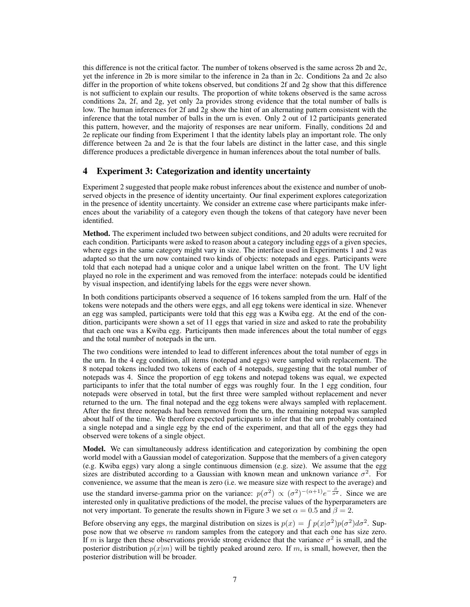this difference is not the critical factor. The number of tokens observed is the same across 2b and 2c, yet the inference in 2b is more similar to the inference in 2a than in 2c. Conditions 2a and 2c also differ in the proportion of white tokens observed, but conditions 2f and 2g show that this difference is not sufficient to explain our results. The proportion of white tokens observed is the same across conditions 2a, 2f, and 2g, yet only 2a provides strong evidence that the total number of balls is low. The human inferences for 2f and 2g show the hint of an alternating pattern consistent with the inference that the total number of balls in the urn is even. Only 2 out of 12 participants generated this pattern, however, and the majority of responses are near uniform. Finally, conditions 2d and 2e replicate our finding from Experiment 1 that the identity labels play an important role. The only difference between 2a and 2e is that the four labels are distinct in the latter case, and this single difference produces a predictable divergence in human inferences about the total number of balls.

## **4 Experiment 3: Categorization and identity uncertainty**

Experiment 2 suggested that people make robust inferences about the existence and number of unobserved objects in the presence of identity uncertainty. Our final experiment explores categorization in the presence of identity uncertainty. We consider an extreme case where participants make inferences about the variability of a category even though the tokens of that category have never been identified.

**Method.** The experiment included two between subject conditions, and 20 adults were recruited for each condition. Participants were asked to reason about a category including eggs of a given species, where eggs in the same category might vary in size. The interface used in Experiments 1 and 2 was adapted so that the urn now contained two kinds of objects: notepads and eggs. Participants were told that each notepad had a unique color and a unique label written on the front. The UV light played no role in the experiment and was removed from the interface: notepads could be identified by visual inspection, and identifying labels for the eggs were never shown.

In both conditions participants observed a sequence of 16 tokens sampled from the urn. Half of the tokens were notepads and the others were eggs, and all egg tokens were identical in size. Whenever an egg was sampled, participants were told that this egg was a Kwiba egg. At the end of the condition, participants were shown a set of 11 eggs that varied in size and asked to rate the probability that each one was a Kwiba egg. Participants then made inferences about the total number of eggs and the total number of notepads in the urn.

The two conditions were intended to lead to different inferences about the total number of eggs in the urn. In the 4 egg condition, all items (notepad and eggs) were sampled with replacement. The 8 notepad tokens included two tokens of each of 4 notepads, suggesting that the total number of notepads was 4. Since the proportion of egg tokens and notepad tokens was equal, we expected participants to infer that the total number of eggs was roughly four. In the 1 egg condition, four notepads were observed in total, but the first three were sampled without replacement and never returned to the urn. The final notepad and the egg tokens were always sampled with replacement. After the first three notepads had been removed from the urn, the remaining notepad was sampled about half of the time. We therefore expected participants to infer that the urn probably contained a single notepad and a single egg by the end of the experiment, and that all of the eggs they had observed were tokens of a single object.

**Model.** We can simultaneously address identification and categorization by combining the open world model with a Gaussian model of categorization. Suppose that the members of a given category (e.g. Kwiba eggs) vary along a single continuous dimension (e.g. size). We assume that the egg sizes are distributed according to a Gaussian with known mean and unknown variance  $\sigma^2$ . For convenience, we assume that the mean is zero (i.e. we measure size with respect to the average) and use the standard inverse-gamma prior on the variance:  $p(\sigma^2) \propto (\sigma^2)^{-(\alpha+1)} e^{-\frac{\beta}{\sigma^2}}$ . Since we are interested only in qualitative predictions of the model, the precise values of the hyperparameters are not very important. To generate the results shown in Figure 3 we set  $\alpha = 0.5$  and  $\beta = 2$ .

Before observing any eggs, the marginal distribution on sizes is  $p(x) = \int p(x|\sigma^2)p(\sigma^2)d\sigma^2$ . Suppose now that we observe m random samples from the category and that each one has size zero. If m is large then these observations provide strong evidence that the variance  $\sigma^2$  is small, and the posterior distribution  $p(x|m)$  will be tightly peaked around zero. If m, is small, however, then the posterior distribution will be broader.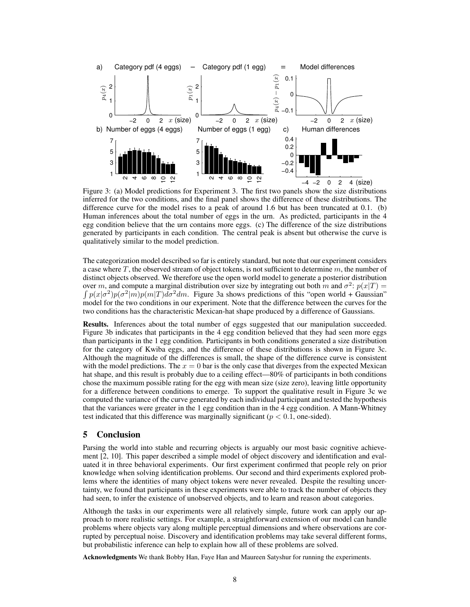

Figure 3: (a) Model predictions for Experiment 3. The first two panels show the size distributions inferred for the two conditions, and the final panel shows the difference of these distributions. The difference curve for the model rises to a peak of around 1.6 but has been truncated at 0.1. (b) Human inferences about the total number of eggs in the urn. As predicted, participants in the 4 egg condition believe that the urn contains more eggs. (c) The difference of the size distributions generated by participants in each condition. The central peak is absent but otherwise the curve is qualitatively similar to the model prediction.

The categorization model described so far is entirely standard, but note that our experiment considers a case where  $T$ , the observed stream of object tokens, is not sufficient to determine  $m$ , the number of distinct objects observed. We therefore use the open world model to generate a posterior distribution over m, and compute a marginal distribution over size by integrating out both m and  $\sigma^2$ :  $p(x|T)$  =  $\int p(x|\sigma^2)p(\sigma^2|m)p(m|T)d\sigma^2 dm$ . Figure 3a shows predictions of this "open world + Gaussian" model for the two conditions in our experiment. Note that the difference between the curves for the two conditions has the characteristic Mexican-hat shape produced by a difference of Gaussians.

**Results.** Inferences about the total number of eggs suggested that our manipulation succeeded. Figure 3b indicates that participants in the 4 egg condition believed that they had seen more eggs than participants in the 1 egg condition. Participants in both conditions generated a size distribution for the category of Kwiba eggs, and the difference of these distributions is shown in Figure 3c. Although the magnitude of the differences is small, the shape of the difference curve is consistent with the model predictions. The  $x = 0$  bar is the only case that diverges from the expected Mexican hat shape, and this result is probably due to a ceiling effect—80% of participants in both conditions chose the maximum possible rating for the egg with mean size (size zero), leaving little opportunity for a difference between conditions to emerge. To support the qualitative result in Figure 3c we computed the variance of the curve generated by each individual participant and tested the hypothesis that the variances were greater in the 1 egg condition than in the 4 egg condition. A Mann-Whitney test indicated that this difference was marginally significant ( $p < 0.1$ , one-sided).

#### **5 Conclusion**

Parsing the world into stable and recurring objects is arguably our most basic cognitive achievement [2, 10]. This paper described a simple model of object discovery and identification and evaluated it in three behavioral experiments. Our first experiment confirmed that people rely on prior knowledge when solving identification problems. Our second and third experiments explored problems where the identities of many object tokens were never revealed. Despite the resulting uncertainty, we found that participants in these experiments were able to track the number of objects they had seen, to infer the existence of unobserved objects, and to learn and reason about categories.

Although the tasks in our experiments were all relatively simple, future work can apply our approach to more realistic settings. For example, a straightforward extension of our model can handle problems where objects vary along multiple perceptual dimensions and where observations are corrupted by perceptual noise. Discovery and identification problems may take several different forms, but probabilistic inference can help to explain how all of these problems are solved.

**Acknowledgments** We thank Bobby Han, Faye Han and Maureen Satyshur for running the experiments.